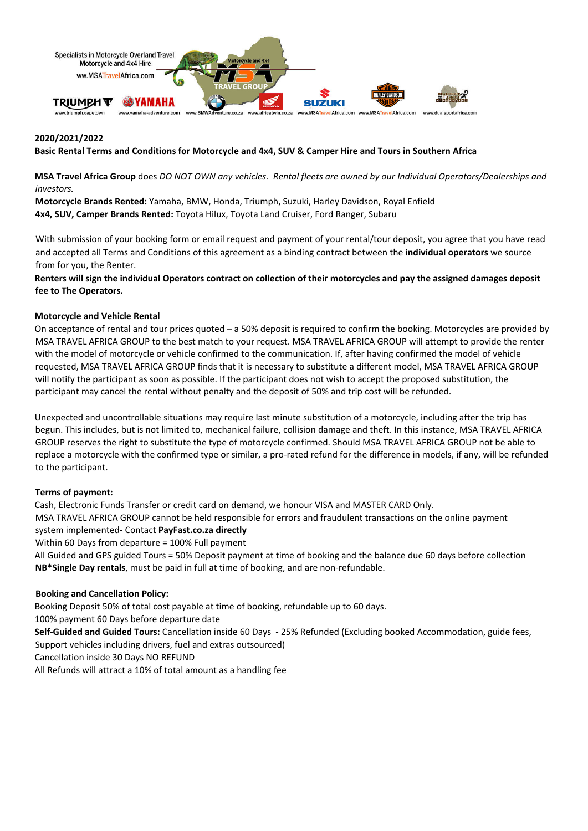

### **2020/2021/2022**

Basic Rental Terms and Conditions for Motorcycle and 4x4, SUV & Camper Hire and Tours in Southern Africa

MSA Travel Africa Group does DO NOT OWN any vehicles. Rental fleets are owned by our Individual Operators/Dealerships and *investors.*

**Motorcycle Brands Rented:** Yamaha, BMW, Honda, Triumph, Suzuki, Harley Davidson, Royal Enfield **4x4, SUV, Camper Brands Rented:** Toyota Hilux, Toyota Land Cruiser, Ford Ranger, Subaru

With submission of your booking form or email request and payment of your rental/tour deposit, you agree that you have read and accepted all Terms and Conditions of this agreement as a binding contract between the **individual operators** we source from for you, the Renter.

Renters will sign the individual Operators contract on collection of their motorcycles and pay the assigned damages deposit **fee to The Operators.**

### **Motorcycle and Vehicle Rental**

On acceptance of rental and tour prices quoted – a 50% deposit is required to confirm the booking. Motorcycles are provided by MSA TRAVEL AFRICA GROUP to the best match to your request. MSA TRAVEL AFRICA GROUP will attempt to provide the renter with the model of motorcycle or vehicle confirmed to the communication. If, after having confirmed the model of vehicle requested, MSA TRAVEL AFRICA GROUP finds that it is necessary to substitute a different model, MSA TRAVEL AFRICA GROUP will notify the participant as soon as possible. If the participant does not wish to accept the proposed substitution, the participant may cancel the rental without penalty and the deposit of 50% and trip cost will be refunded.

Unexpected and uncontrollable situations may require last minute substitution of a motorcycle, including after the trip has begun. This includes, but is not limited to, mechanical failure, collision damage and theft. In this instance, MSA TRAVEL AFRICA GROUP reserves the right to substitute the type of motorcycle confirmed. Should MSA TRAVEL AFRICA GROUP not be able to replace a motorcycle with the confirmed type or similar, a pro-rated refund for the difference in models, if any, will be refunded to the participant.

### **Terms of payment:**

Cash, Electronic Funds Transfer or credit card on demand, we honour VISA and MASTER CARD Only. MSA TRAVEL AFRICA GROUP cannot be held responsible for errors and fraudulent transactions on the online payment system implemented‐ Contact **PayFast.co.za directly**

Within 60 Days from departure = 100% Full payment

All Guided and GPS guided Tours = 50% Deposit payment at time of booking and the balance due 60 days before collection **NB\*Single Day rentals**, must be paid in full at time of booking, and are non‐refundable.

### **Booking and Cancellation Policy:**

Booking Deposit 50% of total cost payable at time of booking, refundable up to 60 days.

100% payment 60 Days before departure date

**Self‐Guided and Guided Tours:** Cancellation inside 60 Days ‐ 25% Refunded (Excluding booked Accommodation, guide fees, Support vehicles including drivers, fuel and extras outsourced)

Cancellation inside 30 Days NO REFUND

All Refunds will attract a 10% of total amount as a handling fee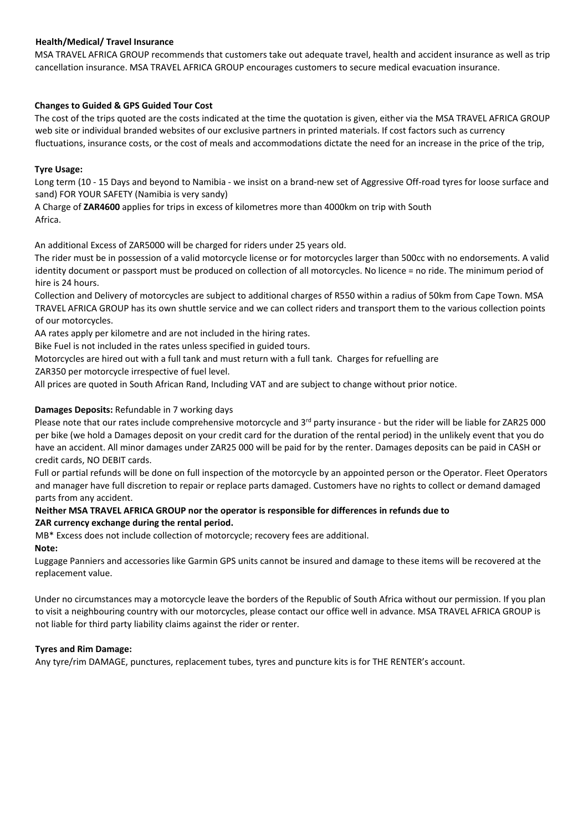# **Health/Medical/ Travel Insurance**

MSA TRAVEL AFRICA GROUP recommends that customers take out adequate travel, health and accident insurance as well as trip cancellation insurance. MSA TRAVEL AFRICA GROUP encourages customers to secure medical evacuation insurance.

## **Changes to Guided & GPS Guided Tour Cost**

The cost of the trips quoted are the costs indicated at the time the quotation is given, either via the MSA TRAVEL AFRICA GROUP web site or individual branded websites of our exclusive partners in printed materials. If cost factors such as currency fluctuations, insurance costs, or the cost of meals and accommodations dictate the need for an increase in the price of the trip,

### **Tyre Usage:**

Long term (10 - 15 Days and beyond to Namibia - we insist on a brand-new set of Aggressive Off-road tyres for loose surface and sand) FOR YOUR SAFETY (Namibia is very sandy)

A Charge of **ZAR4600** applies for trips in excess of kilometres more than 4000km on trip with South Africa.

An additional Excess of ZAR5000 will be charged for riders under 25 years old.

The rider must be in possession of a valid motorcycle license or for motorcycles larger than 500cc with no endorsements. A valid identity document or passport must be produced on collection of all motorcycles. No licence = no ride. The minimum period of hire is 24 hours.

Collection and Delivery of motorcycles are subject to additional charges of R550 within a radius of 50km from Cape Town. MSA TRAVEL AFRICA GROUP has its own shuttle service and we can collect riders and transport them to the various collection points of our motorcycles.

AA rates apply per kilometre and are not included in the hiring rates.

Bike Fuel is not included in the rates unless specified in guided tours.

Motorcycles are hired out with a full tank and must return with a full tank. Charges for refuelling are

ZAR350 per motorcycle irrespective of fuel level.

All prices are quoted in South African Rand, Including VAT and are subject to change without prior notice.

## **Damages Deposits:** Refundable in 7 working days

Please note that our rates include comprehensive motorcycle and 3<sup>rd</sup> party insurance - but the rider will be liable for ZAR25 000 per bike (we hold a Damages deposit on your credit card for the duration of the rental period) in the unlikely event that you do have an accident. All minor damages under ZAR25 000 will be paid for by the renter. Damages deposits can be paid in CASH or credit cards, NO DEBIT cards.

Full or partial refunds will be done on full inspection of the motorcycle by an appointed person or the Operator. Fleet Operators and manager have full discretion to repair or replace parts damaged. Customers have no rights to collect or demand damaged parts from any accident.

### **Neither MSA TRAVEL AFRICA GROUP nor the operator is responsible for differences in refunds due to ZAR currency exchange during the rental period.**

MB\* Excess does not include collection of motorcycle; recovery fees are additional. **Note:** 

Luggage Panniers and accessories like Garmin GPS units cannot be insured and damage to these items will be recovered at the replacement value.

Under no circumstances may a motorcycle leave the borders of the Republic of South Africa without our permission. If you plan to visit a neighbouring country with our motorcycles, please contact our office well in advance. MSA TRAVEL AFRICA GROUP is not liable for third party liability claims against the rider or renter.

### **Tyres and Rim Damage:**

Any tyre/rim DAMAGE, punctures, replacement tubes, tyres and puncture kits is for THE RENTER's account.